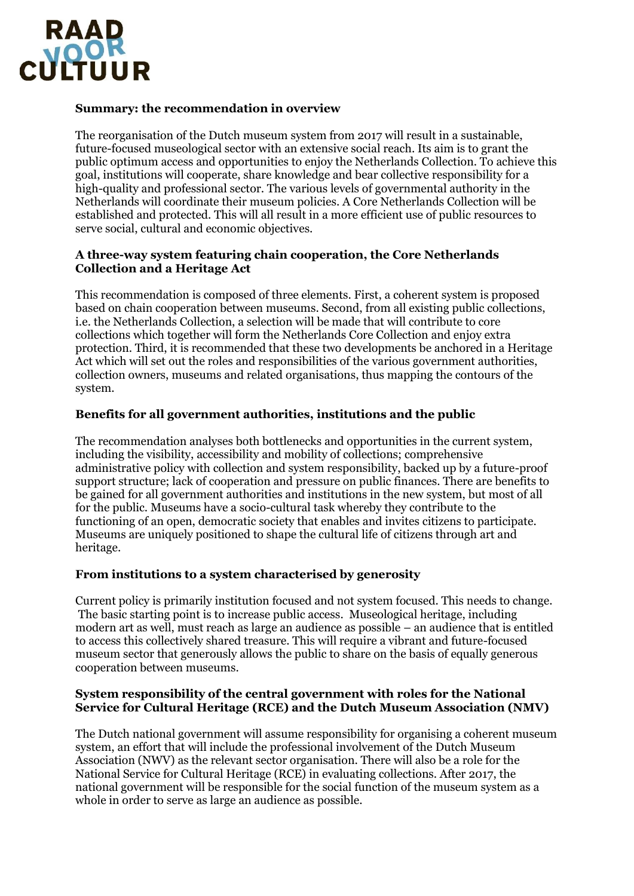

# **Summary: the recommendation in overview**

The reorganisation of the Dutch museum system from 2017 will result in a sustainable, future-focused museological sector with an extensive social reach. Its aim is to grant the public optimum access and opportunities to enjoy the Netherlands Collection. To achieve this goal, institutions will cooperate, share knowledge and bear collective responsibility for a high-quality and professional sector. The various levels of governmental authority in the Netherlands will coordinate their museum policies. A Core Netherlands Collection will be established and protected. This will all result in a more efficient use of public resources to serve social, cultural and economic objectives.

#### **A three-way system featuring chain cooperation, the Core Netherlands Collection and a Heritage Act**

This recommendation is composed of three elements. First, a coherent system is proposed based on chain cooperation between museums. Second, from all existing public collections, i.e. the Netherlands Collection, a selection will be made that will contribute to core collections which together will form the Netherlands Core Collection and enjoy extra protection. Third, it is recommended that these two developments be anchored in a Heritage Act which will set out the roles and responsibilities of the various government authorities, collection owners, museums and related organisations, thus mapping the contours of the system.

## **Benefits for all government authorities, institutions and the public**

The recommendation analyses both bottlenecks and opportunities in the current system, including the visibility, accessibility and mobility of collections; comprehensive administrative policy with collection and system responsibility, backed up by a future-proof support structure; lack of cooperation and pressure on public finances. There are benefits to be gained for all government authorities and institutions in the new system, but most of all for the public. Museums have a socio-cultural task whereby they contribute to the functioning of an open, democratic society that enables and invites citizens to participate. Museums are uniquely positioned to shape the cultural life of citizens through art and heritage.

## **From institutions to a system characterised by generosity**

Current policy is primarily institution focused and not system focused. This needs to change. The basic starting point is to increase public access. Museological heritage, including modern art as well, must reach as large an audience as possible – an audience that is entitled to access this collectively shared treasure. This will require a vibrant and future-focused museum sector that generously allows the public to share on the basis of equally generous cooperation between museums.

#### **System responsibility of the central government with roles for the National Service for Cultural Heritage (RCE) and the Dutch Museum Association (NMV)**

The Dutch national government will assume responsibility for organising a coherent museum system, an effort that will include the professional involvement of the Dutch Museum Association (NWV) as the relevant sector organisation. There will also be a role for the National Service for Cultural Heritage (RCE) in evaluating collections. After 2017, the national government will be responsible for the social function of the museum system as a whole in order to serve as large an audience as possible.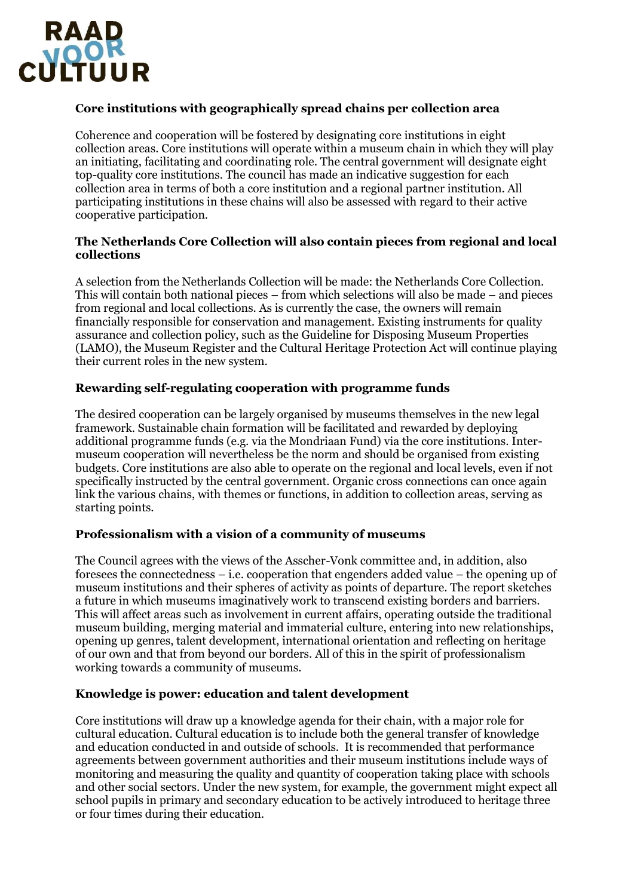

# **Core institutions with geographically spread chains per collection area**

Coherence and cooperation will be fostered by designating core institutions in eight collection areas. Core institutions will operate within a museum chain in which they will play an initiating, facilitating and coordinating role. The central government will designate eight top-quality core institutions. The council has made an indicative suggestion for each collection area in terms of both a core institution and a regional partner institution. All participating institutions in these chains will also be assessed with regard to their active cooperative participation.

## **The Netherlands Core Collection will also contain pieces from regional and local collections**

A selection from the Netherlands Collection will be made: the Netherlands Core Collection. This will contain both national pieces – from which selections will also be made – and pieces from regional and local collections. As is currently the case, the owners will remain financially responsible for conservation and management. Existing instruments for quality assurance and collection policy, such as the Guideline for Disposing Museum Properties (LAMO), the Museum Register and the Cultural Heritage Protection Act will continue playing their current roles in the new system.

## **Rewarding self-regulating cooperation with programme funds**

The desired cooperation can be largely organised by museums themselves in the new legal framework. Sustainable chain formation will be facilitated and rewarded by deploying additional programme funds (e.g. via the Mondriaan Fund) via the core institutions. Intermuseum cooperation will nevertheless be the norm and should be organised from existing budgets. Core institutions are also able to operate on the regional and local levels, even if not specifically instructed by the central government. Organic cross connections can once again link the various chains, with themes or functions, in addition to collection areas, serving as starting points.

## **Professionalism with a vision of a community of museums**

The Council agrees with the views of the Asscher-Vonk committee and, in addition, also foresees the connectedness – i.e. cooperation that engenders added value – the opening up of museum institutions and their spheres of activity as points of departure. The report sketches a future in which museums imaginatively work to transcend existing borders and barriers. This will affect areas such as involvement in current affairs, operating outside the traditional museum building, merging material and immaterial culture, entering into new relationships, opening up genres, talent development, international orientation and reflecting on heritage of our own and that from beyond our borders. All of this in the spirit of professionalism working towards a community of museums.

## **Knowledge is power: education and talent development**

Core institutions will draw up a knowledge agenda for their chain, with a major role for cultural education. Cultural education is to include both the general transfer of knowledge and education conducted in and outside of schools. It is recommended that performance agreements between government authorities and their museum institutions include ways of monitoring and measuring the quality and quantity of cooperation taking place with schools and other social sectors. Under the new system, for example, the government might expect all school pupils in primary and secondary education to be actively introduced to heritage three or four times during their education.